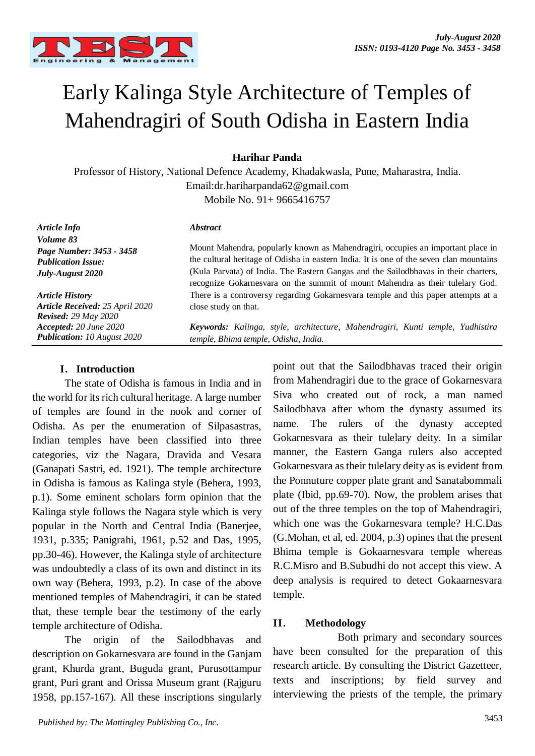

# Early Kalinga Style Architecture of Temples of Mahendragiri of South Odisha in Eastern India

## **Harihar Panda**

Professor of History, National Defence Academy, Khadakwasla, Pune, Maharastra, India. Email:dr.hariharpanda62@gmail.com Mobile No. 91+ 9665416757

*Abstract*

*Article Info Volume 83 Page Number: 3453 - 3458 Publication Issue: July-August 2020*

*Article History Article Received: 25 April 2020 Revised: 29 May 2020 Accepted: 20 June 2020 Publication: 10 August 2020*

Mount Mahendra, popularly known as Mahendragiri, occupies an important place in the cultural heritage of Odisha in eastern India. It is one of the seven clan mountains (Kula Parvata) of India. The Eastern Gangas and the Sailodbhavas in their charters, recognize Gokarnesvara on the summit of mount Mahendra as their tulelary God. There is a controversy regarding Gokarnesvara temple and this paper attempts at a close study on that.

*Keywords: Kalinga, style, architecture, Mahendragiri, Kunti temple, Yudhistira temple, Bhima temple, Odisha, India.*

#### **I. Introduction**

The state of Odisha is famous in India and in the world for its rich cultural heritage. A large number of temples are found in the nook and corner of Odisha. As per the enumeration of Silpasastras, Indian temples have been classified into three categories, viz the Nagara, Dravida and Vesara (Ganapati Sastri, ed. 1921). The temple architecture in Odisha is famous as Kalinga style (Behera, 1993, p.1). Some eminent scholars form opinion that the Kalinga style follows the Nagara style which is very popular in the North and Central India (Banerjee, 1931, p.335; Panigrahi, 1961, p.52 and Das, 1995, pp.30-46). However, the Kalinga style of architecture was undoubtedly a class of its own and distinct in its own way (Behera, 1993, p.2). In case of the above mentioned temples of Mahendragiri, it can be stated that, these temple bear the testimony of the early temple architecture of Odisha.

The origin of the Sailodbhavas and description on Gokarnesvara are found in the Ganjam grant, Khurda grant, Buguda grant, Purusottampur grant, Puri grant and Orissa Museum grant (Rajguru 1958, pp.157-167). All these inscriptions singularly

point out that the Sailodbhavas traced their origin from Mahendragiri due to the grace of Gokarnesvara Siva who created out of rock, a man named Sailodbhava after whom the dynasty assumed its name. The rulers of the dynasty accepted Gokarnesvara as their tulelary deity. In a similar manner, the Eastern Ganga rulers also accepted Gokarnesvara as their tulelary deity as is evident from the Ponnuture copper plate grant and Sanatabommali plate (Ibid, pp.69-70). Now, the problem arises that out of the three temples on the top of Mahendragiri, which one was the Gokarnesvara temple? H.C.Das (G.Mohan, et al, ed. 2004, p.3) opines that the present Bhima temple is Gokaarnesvara temple whereas R.C.Misro and B.Subudhi do not accept this view. A deep analysis is required to detect Gokaarnesvara temple.

### **II. Methodology**

Both primary and secondary sources have been consulted for the preparation of this research article. By consulting the District Gazetteer, texts and inscriptions; by field survey and interviewing the priests of the temple, the primary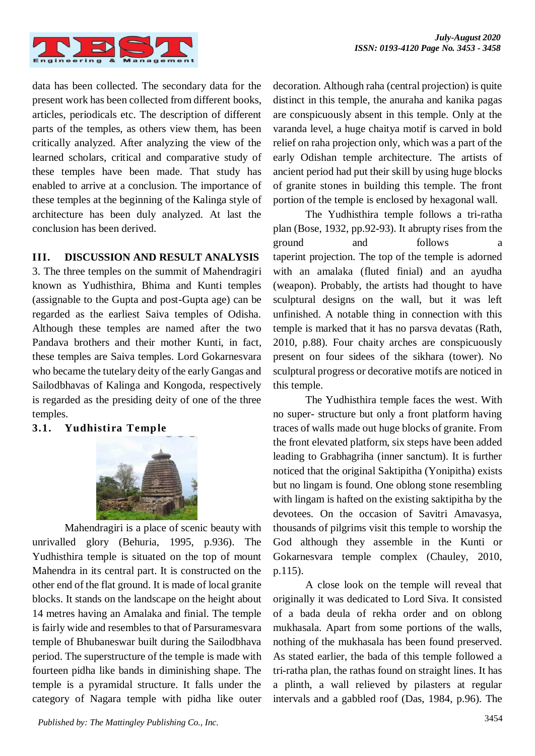

data has been collected. The secondary data for the present work has been collected from different books, articles, periodicals etc. The description of different parts of the temples, as others view them, has been critically analyzed. After analyzing the view of the learned scholars, critical and comparative study of these temples have been made. That study has enabled to arrive at a conclusion. The importance of these temples at the beginning of the Kalinga style of architecture has been duly analyzed. At last the conclusion has been derived.

## **III. DISCUSSION AND RESULT ANALYSIS**

3. The three temples on the summit of Mahendragiri known as Yudhisthira, Bhima and Kunti temples (assignable to the Gupta and post-Gupta age) can be regarded as the earliest Saiva temples of Odisha. Although these temples are named after the two Pandava brothers and their mother Kunti, in fact, these temples are Saiva temples. Lord Gokarnesvara who became the tutelary deity of the early Gangas and Sailodbhavas of Kalinga and Kongoda, respectively is regarded as the presiding deity of one of the three temples.

## **3.1. Yudhistira Temple**



Mahendragiri is a place of scenic beauty with unrivalled glory (Behuria, 1995, p.936). The Yudhisthira temple is situated on the top of mount Mahendra in its central part. It is constructed on the other end of the flat ground. It is made of local granite blocks. It stands on the landscape on the height about 14 metres having an Amalaka and finial. The temple is fairly wide and resembles to that of Parsuramesvara temple of Bhubaneswar built during the Sailodbhava period. The superstructure of the temple is made with fourteen pidha like bands in diminishing shape. The temple is a pyramidal structure. It falls under the category of Nagara temple with pidha like outer decoration. Although raha (central projection) is quite distinct in this temple, the anuraha and kanika pagas are conspicuously absent in this temple. Only at the varanda level, a huge chaitya motif is carved in bold relief on raha projection only, which was a part of the early Odishan temple architecture. The artists of ancient period had put their skill by using huge blocks of granite stones in building this temple. The front portion of the temple is enclosed by hexagonal wall.

The Yudhisthira temple follows a tri-ratha plan (Bose, 1932, pp.92-93). It abrupty rises from the ground and follows a taperint projection. The top of the temple is adorned with an amalaka (fluted finial) and an ayudha (weapon). Probably, the artists had thought to have sculptural designs on the wall, but it was left unfinished. A notable thing in connection with this temple is marked that it has no parsva devatas (Rath, 2010, p.88). Four chaity arches are conspicuously present on four sidees of the sikhara (tower). No sculptural progress or decorative motifs are noticed in this temple.

The Yudhisthira temple faces the west. With no super- structure but only a front platform having traces of walls made out huge blocks of granite. From the front elevated platform, six steps have been added leading to Grabhagriha (inner sanctum). It is further noticed that the original Saktipitha (Yonipitha) exists but no lingam is found. One oblong stone resembling with lingam is hafted on the existing saktipitha by the devotees. On the occasion of Savitri Amavasya, thousands of pilgrims visit this temple to worship the God although they assemble in the Kunti or Gokarnesvara temple complex (Chauley, 2010, p.115).

A close look on the temple will reveal that originally it was dedicated to Lord Siva. It consisted of a bada deula of rekha order and on oblong mukhasala. Apart from some portions of the walls, nothing of the mukhasala has been found preserved. As stated earlier, the bada of this temple followed a tri-ratha plan, the rathas found on straight lines. It has a plinth, a wall relieved by pilasters at regular intervals and a gabbled roof (Das, 1984, p.96). The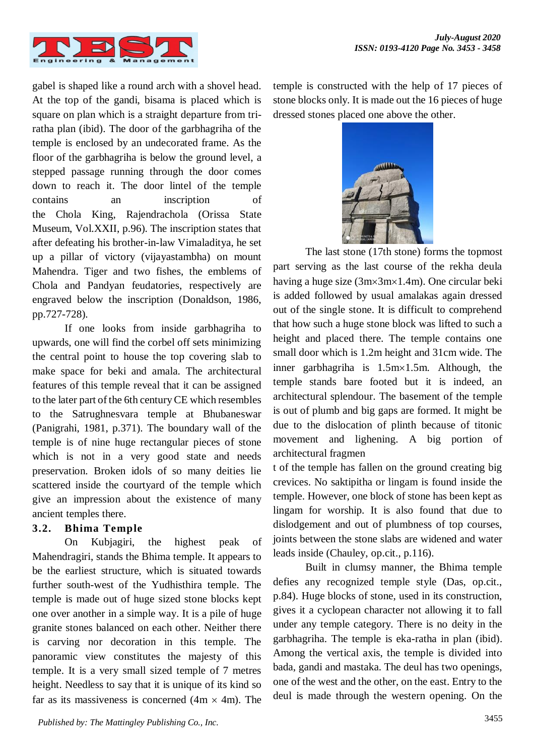

gabel is shaped like a round arch with a shovel head. At the top of the gandi, bisama is placed which is square on plan which is a straight departure from triratha plan (ibid). The door of the garbhagriha of the temple is enclosed by an undecorated frame. As the floor of the garbhagriha is below the ground level, a stepped passage running through the door comes down to reach it. The door lintel of the temple contains an inscription of the Chola King, Rajendrachola (Orissa State Museum, Vol.XXII, p.96). The inscription states that after defeating his brother-in-law Vimaladitya, he set up a pillar of victory (vijayastambha) on mount Mahendra. Tiger and two fishes, the emblems of Chola and Pandyan feudatories, respectively are engraved below the inscription (Donaldson, 1986, pp.727-728).

If one looks from inside garbhagriha to upwards, one will find the corbel off sets minimizing the central point to house the top covering slab to make space for beki and amala. The architectural features of this temple reveal that it can be assigned to the later part of the 6th century CE which resembles to the Satrughnesvara temple at Bhubaneswar (Panigrahi, 1981, p.371). The boundary wall of the temple is of nine huge rectangular pieces of stone which is not in a very good state and needs preservation. Broken idols of so many deities lie scattered inside the courtyard of the temple which give an impression about the existence of many ancient temples there.

### **3.2. Bhima Temple**

On Kubjagiri, the highest peak of Mahendragiri, stands the Bhima temple. It appears to be the earliest structure, which is situated towards further south-west of the Yudhisthira temple. The temple is made out of huge sized stone blocks kept one over another in a simple way. It is a pile of huge granite stones balanced on each other. Neither there is carving nor decoration in this temple. The panoramic view constitutes the majesty of this temple. It is a very small sized temple of 7 metres height. Needless to say that it is unique of its kind so far as its massiveness is concerned  $(4m \times 4m)$ . The temple is constructed with the help of 17 pieces of stone blocks only. It is made out the 16 pieces of huge dressed stones placed one above the other.



The last stone (17th stone) forms the topmost part serving as the last course of the rekha deula having a huge size  $(3m \times 3m \times 1.4m)$ . One circular beki is added followed by usual amalakas again dressed out of the single stone. It is difficult to comprehend that how such a huge stone block was lifted to such a height and placed there. The temple contains one small door which is 1.2m height and 31cm wide. The inner garbhagriha is  $1.5 \text{m} \times 1.5 \text{m}$ . Although, the temple stands bare footed but it is indeed, an architectural splendour. The basement of the temple is out of plumb and big gaps are formed. It might be due to the dislocation of plinth because of titonic movement and lighening. A big portion of architectural fragmen

t of the temple has fallen on the ground creating big crevices. No saktipitha or lingam is found inside the temple. However, one block of stone has been kept as lingam for worship. It is also found that due to dislodgement and out of plumbness of top courses, joints between the stone slabs are widened and water leads inside (Chauley, op.cit., p.116).

Built in clumsy manner, the Bhima temple defies any recognized temple style (Das, op.cit., p.84). Huge blocks of stone, used in its construction, gives it a cyclopean character not allowing it to fall under any temple category. There is no deity in the garbhagriha. The temple is eka-ratha in plan (ibid). Among the vertical axis, the temple is divided into bada, gandi and mastaka. The deul has two openings, one of the west and the other, on the east. Entry to the deul is made through the western opening. On the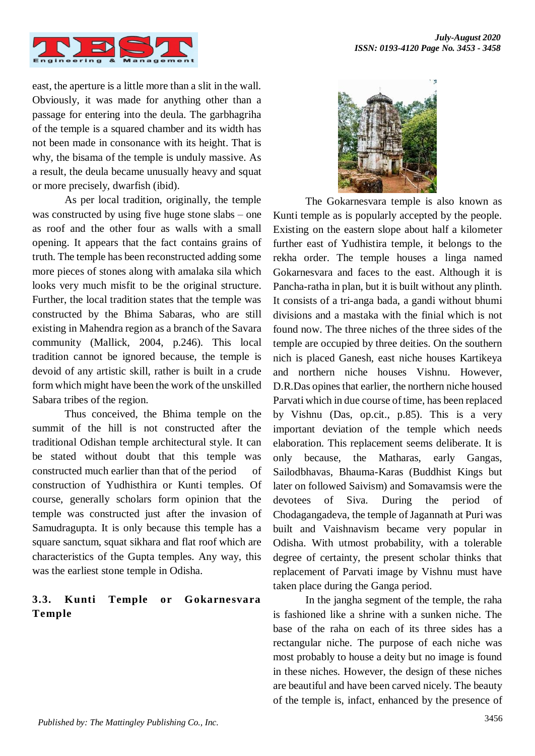

east, the aperture is a little more than a slit in the wall. Obviously, it was made for anything other than a passage for entering into the deula. The garbhagriha of the temple is a squared chamber and its width has not been made in consonance with its height. That is why, the bisama of the temple is unduly massive. As a result, the deula became unusually heavy and squat or more precisely, dwarfish (ibid).

As per local tradition, originally, the temple was constructed by using five huge stone slabs – one as roof and the other four as walls with a small opening. It appears that the fact contains grains of truth. The temple has been reconstructed adding some more pieces of stones along with amalaka sila which looks very much misfit to be the original structure. Further, the local tradition states that the temple was constructed by the Bhima Sabaras, who are still existing in Mahendra region as a branch of the Savara community (Mallick, 2004, p.246). This local tradition cannot be ignored because, the temple is devoid of any artistic skill, rather is built in a crude form which might have been the work of the unskilled Sabara tribes of the region.

Thus conceived, the Bhima temple on the summit of the hill is not constructed after the traditional Odishan temple architectural style. It can be stated without doubt that this temple was constructed much earlier than that of the period of construction of Yudhisthira or Kunti temples. Of course, generally scholars form opinion that the temple was constructed just after the invasion of Samudragupta. It is only because this temple has a square sanctum, squat sikhara and flat roof which are characteristics of the Gupta temples. Any way, this was the earliest stone temple in Odisha.

## **3.3. Kunti Temple or Gokarnesvara Temple**



The Gokarnesvara temple is also known as Kunti temple as is popularly accepted by the people. Existing on the eastern slope about half a kilometer further east of Yudhistira temple, it belongs to the rekha order. The temple houses a linga named Gokarnesvara and faces to the east. Although it is Pancha-ratha in plan, but it is built without any plinth. It consists of a tri-anga bada, a gandi without bhumi divisions and a mastaka with the finial which is not found now. The three niches of the three sides of the temple are occupied by three deities. On the southern nich is placed Ganesh, east niche houses Kartikeya and northern niche houses Vishnu. However, D.R.Das opines that earlier, the northern niche housed Parvati which in due course of time, has been replaced by Vishnu (Das, op.cit., p.85). This is a very important deviation of the temple which needs elaboration. This replacement seems deliberate. It is only because, the Matharas, early Gangas, Sailodbhavas, Bhauma-Karas (Buddhist Kings but later on followed Saivism) and Somavamsis were the devotees of Siva. During the period of Chodagangadeva, the temple of Jagannath at Puri was built and Vaishnavism became very popular in Odisha. With utmost probability, with a tolerable degree of certainty, the present scholar thinks that replacement of Parvati image by Vishnu must have taken place during the Ganga period.

In the jangha segment of the temple, the raha is fashioned like a shrine with a sunken niche. The base of the raha on each of its three sides has a rectangular niche. The purpose of each niche was most probably to house a deity but no image is found in these niches. However, the design of these niches are beautiful and have been carved nicely. The beauty of the temple is, infact, enhanced by the presence of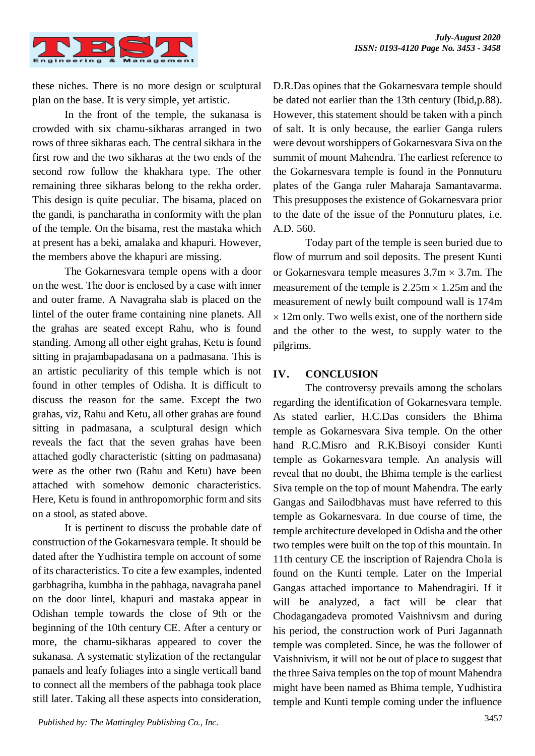

these niches. There is no more design or sculptural plan on the base. It is very simple, yet artistic.

In the front of the temple, the sukanasa is crowded with six chamu-sikharas arranged in two rows of three sikharas each. The central sikhara in the first row and the two sikharas at the two ends of the second row follow the khakhara type. The other remaining three sikharas belong to the rekha order. This design is quite peculiar. The bisama, placed on the gandi, is pancharatha in conformity with the plan of the temple. On the bisama, rest the mastaka which at present has a beki, amalaka and khapuri. However, the members above the khapuri are missing.

The Gokarnesvara temple opens with a door on the west. The door is enclosed by a case with inner and outer frame. A Navagraha slab is placed on the lintel of the outer frame containing nine planets. All the grahas are seated except Rahu, who is found standing. Among all other eight grahas, Ketu is found sitting in prajambapadasana on a padmasana. This is an artistic peculiarity of this temple which is not found in other temples of Odisha. It is difficult to discuss the reason for the same. Except the two grahas, viz, Rahu and Ketu, all other grahas are found sitting in padmasana, a sculptural design which reveals the fact that the seven grahas have been attached godly characteristic (sitting on padmasana) were as the other two (Rahu and Ketu) have been attached with somehow demonic characteristics. Here, Ketu is found in anthropomorphic form and sits on a stool, as stated above.

It is pertinent to discuss the probable date of construction of the Gokarnesvara temple. It should be dated after the Yudhistira temple on account of some of its characteristics. To cite a few examples, indented garbhagriha, kumbha in the pabhaga, navagraha panel on the door lintel, khapuri and mastaka appear in Odishan temple towards the close of 9th or the beginning of the 10th century CE. After a century or more, the chamu-sikharas appeared to cover the sukanasa. A systematic stylization of the rectangular panaels and leafy foliages into a single verticall band to connect all the members of the pabhaga took place still later. Taking all these aspects into consideration,

D.R.Das opines that the Gokarnesvara temple should be dated not earlier than the 13th century (Ibid,p.88). However, this statement should be taken with a pinch of salt. It is only because, the earlier Ganga rulers were devout worshippers of Gokarnesvara Siva on the summit of mount Mahendra. The earliest reference to the Gokarnesvara temple is found in the Ponnuturu plates of the Ganga ruler Maharaja Samantavarma. This presupposes the existence of Gokarnesvara prior to the date of the issue of the Ponnuturu plates, i.e. A.D. 560.

Today part of the temple is seen buried due to flow of murrum and soil deposits. The present Kunti or Gokarnesvara temple measures  $3.7 \text{m} \times 3.7 \text{m}$ . The measurement of the temple is  $2.25m \times 1.25m$  and the measurement of newly built compound wall is 174m  $\times$  12m only. Two wells exist, one of the northern side and the other to the west, to supply water to the pilgrims.

#### **IV. CONCLUSION**

The controversy prevails among the scholars regarding the identification of Gokarnesvara temple. As stated earlier, H.C.Das considers the Bhima temple as Gokarnesvara Siva temple. On the other hand R.C.Misro and R.K.Bisoyi consider Kunti temple as Gokarnesvara temple. An analysis will reveal that no doubt, the Bhima temple is the earliest Siva temple on the top of mount Mahendra. The early Gangas and Sailodbhavas must have referred to this temple as Gokarnesvara. In due course of time, the temple architecture developed in Odisha and the other two temples were built on the top of this mountain. In 11th century CE the inscription of Rajendra Chola is found on the Kunti temple. Later on the Imperial Gangas attached importance to Mahendragiri. If it will be analyzed, a fact will be clear that Chodagangadeva promoted Vaishnivsm and during his period, the construction work of Puri Jagannath temple was completed. Since, he was the follower of Vaishnivism, it will not be out of place to suggest that the three Saiva temples on the top of mount Mahendra might have been named as Bhima temple, Yudhistira temple and Kunti temple coming under the influence